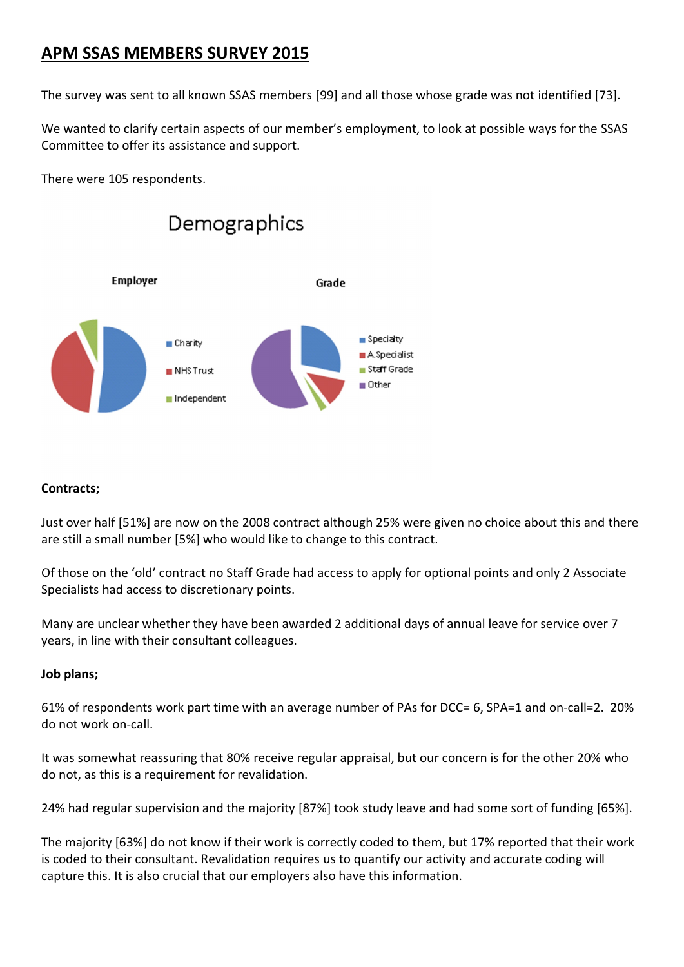# **APM SSAS MEMBERS SURVEY 2015**

The survey was sent to all known SSAS members [99] and all those whose grade was not identified [73].

We wanted to clarify certain aspects of our member's employment, to look at possible ways for the SSAS Committee to offer its assistance and support.

There were 105 respondents.



## **Contracts;**

Just over half [51%] are now on the 2008 contract although 25% were given no choice about this and there are still a small number [5%] who would like to change to this contract.

Of those on the 'old' contract no Staff Grade had access to apply for optional points and only 2 Associate Specialists had access to discretionary points.

Many are unclear whether they have been awarded 2 additional days of annual leave for service over 7 years, in line with their consultant colleagues.

# **Job plans;**

61% of respondents work part time with an average number of PAs for DCC= 6, SPA=1 and on-call=2. 20% do not work on-call

It was somewhat reassuring that 80% receive regular appraisal, but our concern is for the other 20% who do not, as this is a requirement for revalidation.

24% had regular supervision and the majority [87%] took study leave and had some sort of funding [65%].

The majority [63%] do not know if their work is correctly coded to them, but 17% reported that their work is coded to their consultant. Revalidation requires us to quantify our activity and accurate coding will capture this. It is also crucial that our employers also have this information.